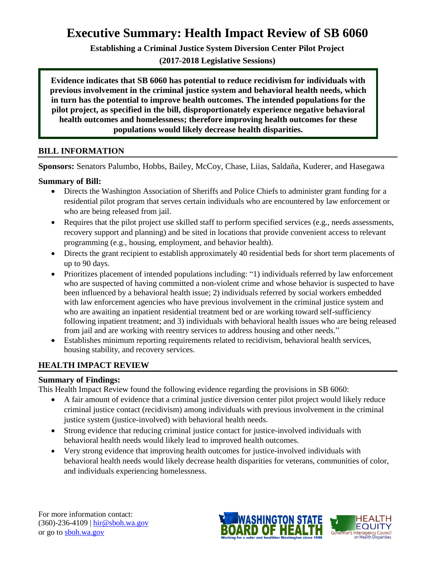## **Executive Summary: Health Impact Review of SB 6060**

**Establishing a Criminal Justice System Diversion Center Pilot Project**

**(2017-2018 Legislative Sessions)**

**Evidence indicates that SB 6060 has potential to reduce recidivism for individuals with previous involvement in the criminal justice system and behavioral health needs, which in turn has the potential to improve health outcomes. The intended populations for the pilot project, as specified in the bill, disproportionately experience negative behavioral health outcomes and homelessness; therefore improving health outcomes for these populations would likely decrease health disparities.** 

#### **BILL INFORMATION**

**Sponsors:** Senators Palumbo, Hobbs, Bailey, McCoy, Chase, Liias, Saldaña, Kuderer, and Hasegawa

## **Summary of Bill:**

- Directs the Washington Association of Sheriffs and Police Chiefs to administer grant funding for a residential pilot program that serves certain individuals who are encountered by law enforcement or who are being released from jail.
- Requires that the pilot project use skilled staff to perform specified services (e.g., needs assessments, recovery support and planning) and be sited in locations that provide convenient access to relevant programming (e.g., housing, employment, and behavior health).
- Directs the grant recipient to establish approximately 40 residential beds for short term placements of up to 90 days.
- Prioritizes placement of intended populations including: "1) individuals referred by law enforcement who are suspected of having committed a non-violent crime and whose behavior is suspected to have been influenced by a behavioral health issue; 2) individuals referred by social workers embedded with law enforcement agencies who have previous involvement in the criminal justice system and who are awaiting an inpatient residential treatment bed or are working toward self-sufficiency following inpatient treatment; and 3) individuals with behavioral health issues who are being released from jail and are working with reentry services to address housing and other needs."
- Establishes minimum reporting requirements related to recidivism, behavioral health services, housing stability, and recovery services.

## **HEALTH IMPACT REVIEW**

#### **Summary of Findings:**

This Health Impact Review found the following evidence regarding the provisions in SB 6060:

- A fair amount of evidence that a criminal justice diversion center pilot project would likely reduce criminal justice contact (recidivism) among individuals with previous involvement in the criminal justice system (justice-involved) with behavioral health needs.
- Strong evidence that reducing criminal justice contact for justice-involved individuals with behavioral health needs would likely lead to improved health outcomes.
- Very strong evidence that improving health outcomes for justice-involved individuals with behavioral health needs would likely decrease health disparities for veterans, communities of color, and individuals experiencing homelessness.

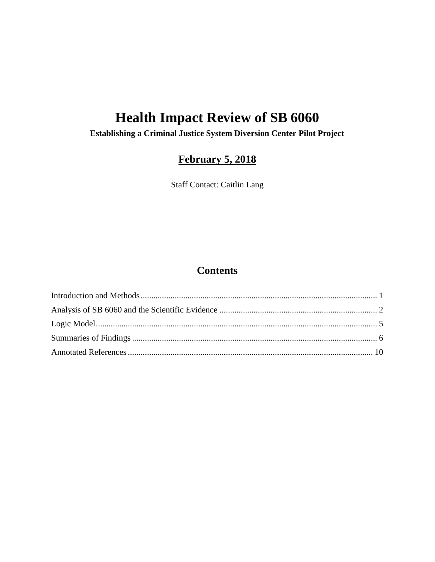# **Health Impact Review of SB 6060**

**Establishing a Criminal Justice System Diversion Center Pilot Project**

## **February 5, 2018**

Staff Contact: Caitlin Lang

## **Contents**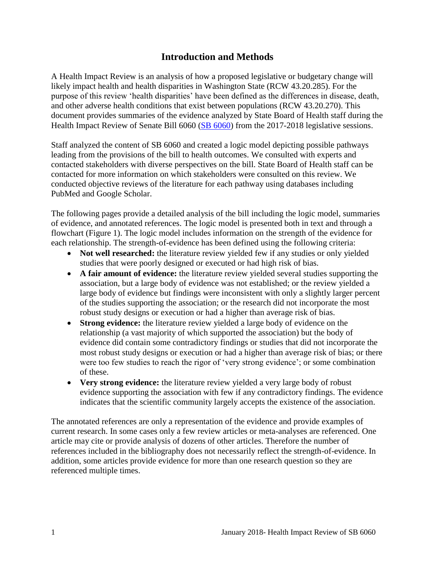## **Introduction and Methods**

<span id="page-2-0"></span>A Health Impact Review is an analysis of how a proposed legislative or budgetary change will likely impact health and health disparities in Washington State (RCW 43.20.285). For the purpose of this review 'health disparities' have been defined as the differences in disease, death, and other adverse health conditions that exist between populations (RCW 43.20.270). This document provides summaries of the evidence analyzed by State Board of Health staff during the Health Impact Review of Senate Bill 6060 [\(SB 6060\)](http://lawfilesext.leg.wa.gov/biennium/2017-18/Pdf/Bills/Senate%20Bills/6060.pdf) from the 2017-2018 legislative sessions.

Staff analyzed the content of SB 6060 and created a logic model depicting possible pathways leading from the provisions of the bill to health outcomes. We consulted with experts and contacted stakeholders with diverse perspectives on the bill. State Board of Health staff can be contacted for more information on which stakeholders were consulted on this review. We conducted objective reviews of the literature for each pathway using databases including PubMed and Google Scholar.

The following pages provide a detailed analysis of the bill including the logic model, summaries of evidence, and annotated references. The logic model is presented both in text and through a flowchart (Figure 1). The logic model includes information on the strength of the evidence for each relationship. The strength-of-evidence has been defined using the following criteria:

- **Not well researched:** the literature review yielded few if any studies or only yielded studies that were poorly designed or executed or had high risk of bias.
- **A fair amount of evidence:** the literature review yielded several studies supporting the association, but a large body of evidence was not established; or the review yielded a large body of evidence but findings were inconsistent with only a slightly larger percent of the studies supporting the association; or the research did not incorporate the most robust study designs or execution or had a higher than average risk of bias.
- **Strong evidence:** the literature review yielded a large body of evidence on the relationship (a vast majority of which supported the association) but the body of evidence did contain some contradictory findings or studies that did not incorporate the most robust study designs or execution or had a higher than average risk of bias; or there were too few studies to reach the rigor of 'very strong evidence'; or some combination of these.
- **Very strong evidence:** the literature review yielded a very large body of robust evidence supporting the association with few if any contradictory findings. The evidence indicates that the scientific community largely accepts the existence of the association.

The annotated references are only a representation of the evidence and provide examples of current research. In some cases only a few review articles or meta-analyses are referenced. One article may cite or provide analysis of dozens of other articles. Therefore the number of references included in the bibliography does not necessarily reflect the strength-of-evidence. In addition, some articles provide evidence for more than one research question so they are referenced multiple times.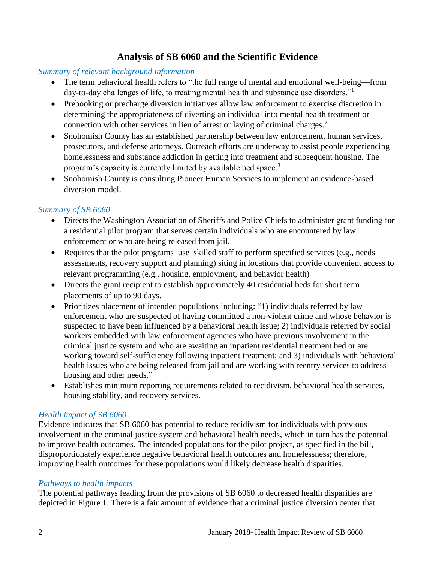## **Analysis of SB 6060 and the Scientific Evidence**

#### <span id="page-3-0"></span>*Summary of relevant background information*

- The term behavioral health refers to "the full range of mental and emotional well-being—from day-to-day challenges of life, to treating mental health and substance use disorders."<sup>1</sup>
- Prebooking or precharge diversion initiatives allow law enforcement to exercise discretion in determining the appropriateness of diverting an individual into mental health treatment or connection with other services in lieu of arrest or laying of criminal charges. 2
- Snohomish County has an established partnership between law enforcement, human services, prosecutors, and defense attorneys. Outreach efforts are underway to assist people experiencing homelessness and substance addiction in getting into treatment and subsequent housing. The program's capacity is currently limited by available bed space.<sup>3</sup>
- Snohomish County is consulting Pioneer Human Services to implement an evidence-based diversion model.

#### *Summary of SB 6060*

- Directs the Washington Association of Sheriffs and Police Chiefs to administer grant funding for a residential pilot program that serves certain individuals who are encountered by law enforcement or who are being released from jail.
- Requires that the pilot programs use skilled staff to perform specified services (e.g., needs assessments, recovery support and planning) siting in locations that provide convenient access to relevant programming (e.g., housing, employment, and behavior health)
- Directs the grant recipient to establish approximately 40 residential beds for short term placements of up to 90 days.
- Prioritizes placement of intended populations including: "1) individuals referred by law enforcement who are suspected of having committed a non-violent crime and whose behavior is suspected to have been influenced by a behavioral health issue; 2) individuals referred by social workers embedded with law enforcement agencies who have previous involvement in the criminal justice system and who are awaiting an inpatient residential treatment bed or are working toward self-sufficiency following inpatient treatment; and 3) individuals with behavioral health issues who are being released from jail and are working with reentry services to address housing and other needs."
- Establishes minimum reporting requirements related to recidivism, behavioral health services, housing stability, and recovery services.

#### *Health impact of SB 6060*

Evidence indicates that SB 6060 has potential to reduce recidivism for individuals with previous involvement in the criminal justice system and behavioral health needs, which in turn has the potential to improve health outcomes. The intended populations for the pilot project, as specified in the bill, disproportionately experience negative behavioral health outcomes and homelessness; therefore, improving health outcomes for these populations would likely decrease health disparities.

#### *Pathways to health impacts*

The potential pathways leading from the provisions of SB 6060 to decreased health disparities are depicted in Figure 1. There is a fair amount of evidence that a criminal justice diversion center that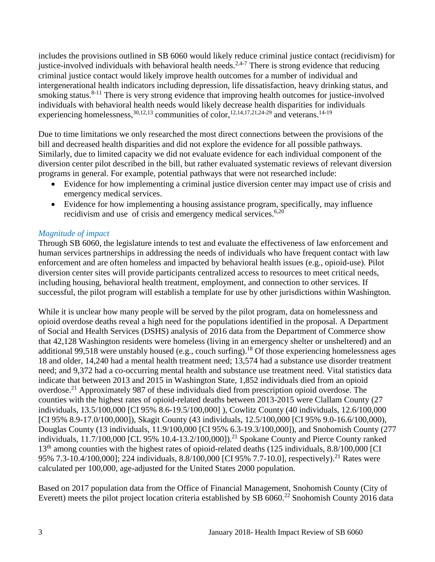includes the provisions outlined in SB 6060 would likely reduce criminal justice contact (recidivism) for justice-involved individuals with behavioral health needs.<sup>[2,](#page-11-0)[4-7](#page-11-1)</sup> There is strong evidence that reducing criminal justice contact would likely improve health outcomes for a number of individual and intergenerational health indicators including depression, life dissatisfaction, heavy drinking status, and smoking status.<sup>8-11</sup> There is very strong evidence that improving health outcomes for justice-involved individuals with behavioral health needs would likely decrease health disparities for individuals experiencing homelessness,  $30,12,13$  $30,12,13$  $30,12,13$  communities of color,  $12,14,17,21,24-29$  $12,14,17,21,24-29$  $12,14,17,21,24-29$  $12,14,17,21,24-29$  $12,14,17,21,24-29$  and veterans.  $14-19$ 

Due to time limitations we only researched the most direct connections between the provisions of the bill and decreased health disparities and did not explore the evidence for all possible pathways. Similarly, due to limited capacity we did not evaluate evidence for each individual component of the diversion center pilot described in the bill, but rather evaluated systematic reviews of relevant diversion programs in general. For example, potential pathways that were not researched include:

- Evidence for how implementing a criminal justice diversion center may impact use of crisis and emergency medical services.
- Evidence for how implementing a housing assistance program, specifically, may influence recidivism and use of crisis and emergency medical services.<sup>[6,](#page-12-0)[20](#page-18-1)</sup>

## *Magnitude of impact*

Through SB 6060, the legislature intends to test and evaluate the effectiveness of law enforcement and human services partnerships in addressing the needs of individuals who have frequent contact with law enforcement and are often homeless and impacted by behavioral health issues (e.g., opioid-use). Pilot diversion center sites will provide participants centralized access to resources to meet critical needs, including housing, behavioral health treatment, employment, and connection to other services. If successful, the pilot program will establish a template for use by other jurisdictions within Washington.

While it is unclear how many people will be served by the pilot program, data on homelessness and opioid overdose deaths reveal a high need for the populations identified in the proposal. A Department of Social and Health Services (DSHS) analysis of 2016 data from the Department of Commerce show that 42,128 Washington residents were homeless (living in an emergency shelter or unsheltered) and an additional 99,518 were unstably housed (e.g., couch surfing).<sup>18</sup> Of those experiencing homelessness ages 18 and older, 14,240 had a mental health treatment need; 13,574 had a substance use disorder treatment need; and 9,372 had a co-occurring mental health and substance use treatment need. Vital statistics data indicate that between 2013 and 2015 in Washington State, 1,852 individuals died from an opioid overdose.<sup>21</sup> Approximately 987 of these individuals died from prescription opioid overdose. The counties with the highest rates of opioid-related deaths between 2013-2015 were Clallam County (27 individuals, 13.5/100,000 [CI 95% 8.6-19.5/100,000] ), Cowlitz County (40 individuals, 12.6/100,000 [CI 95% 8.9-17.0/100,000]), Skagit County (43 individuals, 12.5/100,000 [CI 95% 9.0-16.6/100,000), Douglas County (13 individuals, 11.9/100,000 [CI 95% 6.3-19.3/100,000]), and Snohomish County (277 individuals,  $11.7/100,000$  [CL 95% 10.4-13.2/100,000]).<sup>21</sup> Spokane County and Pierce County ranked 13<sup>th</sup> among counties with the highest rates of opioid-related deaths (125 individuals, 8.8/100,000 [CI] 95% 7.3-10.4/100,000]; 224 individuals, 8.8/100,000 [CI 95% 7.7-10.0], respectively).<sup>21</sup> Rates were calculated per 100,000, age-adjusted for the United States 2000 population.

Based on 2017 population data from the Office of Financial Management, Snohomish County (City of Everett) meets the pilot project location criteria established by SB  $6060$ .<sup>22</sup> Snohomish County 2016 data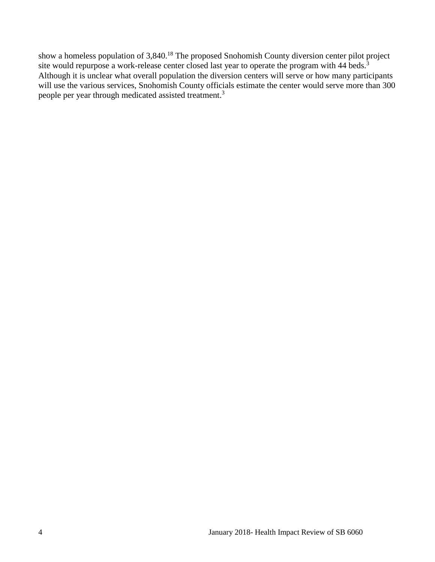show a homeless population of 3,840.<sup>18</sup> The proposed Snohomish County diversion center pilot project site would repurpose a work-release center closed last year to operate the program with 44 beds.<sup>3</sup> Although it is unclear what overall population the diversion centers will serve or how many participants will use the various services, Snohomish County officials estimate the center would serve more than 300 people per year through medicated assisted treatment.<sup>3</sup>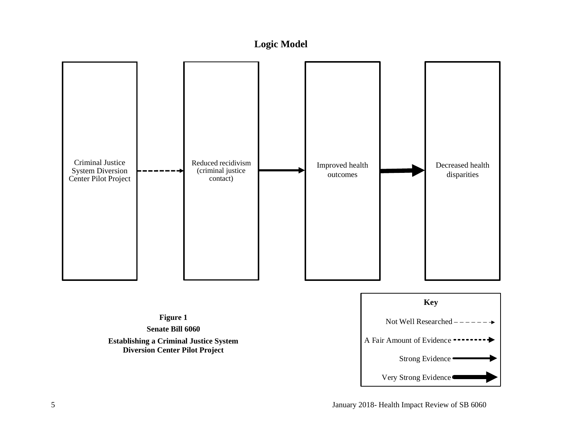## **Logic Model**

<span id="page-6-0"></span>

**Figure 1 Senate Bill 6060 Establishing a Criminal Justice System Diversion Center Pilot Project**

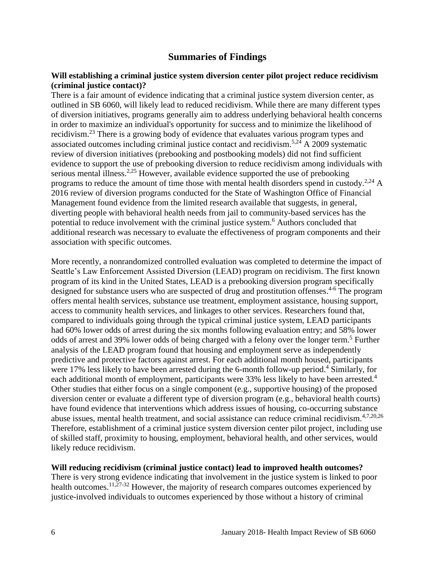## **Summaries of Findings**

#### <span id="page-7-0"></span>**Will establishing a criminal justice system diversion center pilot project reduce recidivism (criminal justice contact)?**

There is a fair amount of evidence indicating that a criminal justice system diversion center, as outlined in SB 6060, will likely lead to reduced recidivism. While there are many different types of diversion initiatives, programs generally aim to address underlying behavioral health concerns in order to maximize an individual's opportunity for success and to minimize the likelihood of recidivism.<sup>23</sup> There is a growing body of evidence that evaluates various program types and associated outcomes including criminal justice contact and recidivism.<sup>[5,](#page-12-1)[24](#page-20-0)</sup> A 2009 systematic review of diversion initiatives (prebooking and postbooking models) did not find sufficient evidence to support the use of prebooking diversion to reduce recidivism among individuals with serious mental illness.<sup>[2,](#page-11-0)[25](#page-20-1)</sup> However, available evidence supported the use of prebooking programs to reduce the amount of time those with mental health disorders spend in custody.<sup>[2](#page-11-0)[,24](#page-20-0)</sup> A 2016 review of diversion programs conducted for the State of Washington Office of Financial Management found evidence from the limited research available that suggests, in general, diverting people with behavioral health needs from jail to community-based services has the potential to reduce involvement with the criminal justice system.<sup>6</sup> Authors concluded that additional research was necessary to evaluate the effectiveness of program components and their association with specific outcomes.

More recently, a nonrandomized controlled evaluation was completed to determine the impact of Seattle's Law Enforcement Assisted Diversion (LEAD) program on recidivism. The first known program of its kind in the United States, LEAD is a prebooking diversion program specifically designed for substance users who are suspected of drug and prostitution offenses.<sup>4-6</sup> The program offers mental health services, substance use treatment, employment assistance, housing support, access to community health services, and linkages to other services. Researchers found that, compared to individuals going through the typical criminal justice system, LEAD participants had 60% lower odds of arrest during the six months following evaluation entry; and 58% lower odds of arrest and 39% lower odds of being charged with a felony over the longer term. <sup>5</sup> Further analysis of the LEAD program found that housing and employment serve as independently predictive and protective factors against arrest. For each additional month housed, participants were 17% less likely to have been arrested during the 6-month follow-up period.<sup>4</sup> Similarly, for each additional month of employment, participants were 33% less likely to have been arrested.<sup>4</sup> Other studies that either focus on a single component (e.g., supportive housing) of the proposed diversion center or evaluate a different type of diversion program (e.g., behavioral health courts) have found evidence that interventions which address issues of housing, co-occurring substance abuse issues, mental health treatment, and social assistance can reduce criminal recidivism.<sup>[4,](#page-11-1)[7,](#page-13-0)[20,](#page-18-1)[26](#page-21-0)</sup> Therefore, establishment of a criminal justice system diversion center pilot project, including use of skilled staff, proximity to housing, employment, behavioral health, and other services, would likely reduce recidivism.

#### **Will reducing recidivism (criminal justice contact) lead to improved health outcomes?**

There is very strong evidence indicating that involvement in the justice system is linked to poor health outcomes.<sup>[11,](#page-15-1)[27-32](#page-21-1)</sup> However, the majority of research compares outcomes experienced by justice-involved individuals to outcomes experienced by those without a history of criminal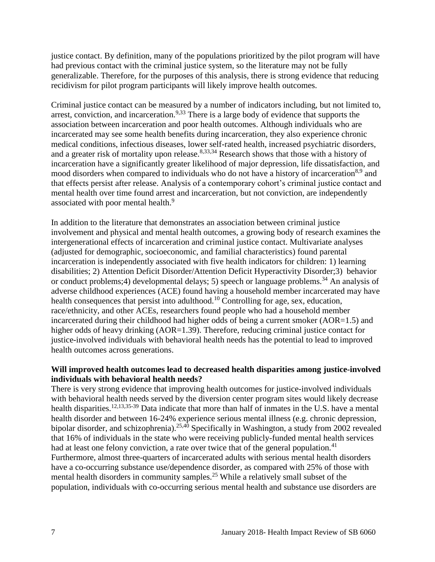justice contact. By definition, many of the populations prioritized by the pilot program will have had previous contact with the criminal justice system, so the literature may not be fully generalizable. Therefore, for the purposes of this analysis, there is strong evidence that reducing recidivism for pilot program participants will likely improve health outcomes.

Criminal justice contact can be measured by a number of indicators including, but not limited to, arrest, conviction, and incarceration.<sup>[9,](#page-14-0)[33](#page-23-0)</sup> There is a large body of evidence that supports the association between incarceration and poor health outcomes. Although individuals who are incarcerated may see some health benefits during incarceration, they also experience chronic medical conditions, infectious diseases, lower self-rated health, increased psychiatric disorders, and a greater risk of mortality upon release.<sup>[8,](#page-13-1)[33,](#page-23-0)[34](#page-23-1)</sup> Research shows that those with a history of incarceration have a significantly greater likelihood of major depression, life dissatisfaction, and mood disorders when compared to individuals who do not have a history of incarceration<sup>[8](#page-13-1)[,9](#page-14-0)</sup> and that effects persist after release. Analysis of a contemporary cohort's criminal justice contact and mental health over time found arrest and incarceration, but not conviction, are independently associated with poor mental health.<sup>9</sup>

In addition to the literature that demonstrates an association between criminal justice involvement and physical and mental health outcomes, a growing body of research examines the intergenerational effects of incarceration and criminal justice contact. Multivariate analyses (adjusted for demographic, socioeconomic, and familial characteristics) found parental incarceration is independently associated with five health indicators for children: 1) learning disabilities; 2) Attention Deficit Disorder/Attention Deficit Hyperactivity Disorder;3) behavior or conduct problems;4) developmental delays; 5) speech or language problems.<sup>34</sup> An analysis of adverse childhood experiences (ACE) found having a household member incarcerated may have health consequences that persist into adulthood.<sup>10</sup> Controlling for age, sex, education, race/ethnicity, and other ACEs, researchers found people who had a household member incarcerated during their childhood had higher odds of being a current smoker (AOR=1.5) and higher odds of heavy drinking (AOR=1.39). Therefore, reducing criminal justice contact for justice-involved individuals with behavioral health needs has the potential to lead to improved health outcomes across generations.

#### **Will improved health outcomes lead to decreased health disparities among justice-involved individuals with behavioral health needs?**

There is very strong evidence that improving health outcomes for justice-involved individuals with behavioral health needs served by the diversion center program sites would likely decrease health disparities.<sup>[12,](#page-15-0)[13,](#page-16-0)[35-39](#page-24-0)</sup> Data indicate that more than half of inmates in the U.S. have a mental health disorder and between 16-24% experience serious mental illness (e.g. chronic depression, bipolar disorder, and schizophrenia).<sup>[25,](#page-20-1)[40](#page-25-0)</sup> Specifically in Washington, a study from 2002 revealed that 16% of individuals in the state who were receiving publicly-funded mental health services had at least one felony conviction, a rate over twice that of the general population.<sup>41</sup> Furthermore, almost three-quarters of incarcerated adults with serious mental health disorders have a co-occurring substance use/dependence disorder, as compared with 25% of those with mental health disorders in community samples.<sup>25</sup> While a relatively small subset of the population, individuals with co-occurring serious mental health and substance use disorders are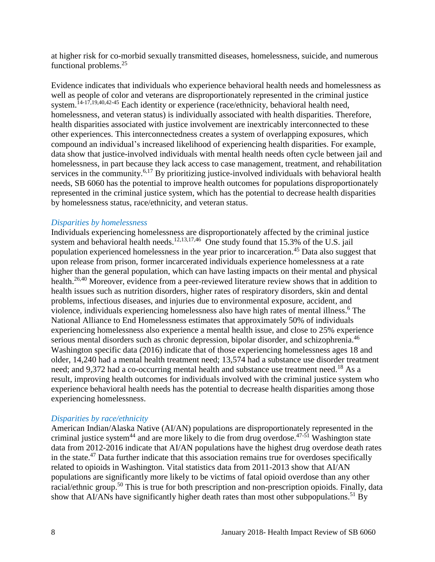at higher risk for co-morbid sexually transmitted diseases, homelessness, suicide, and numerous functional problems. $25$ 

Evidence indicates that individuals who experience behavioral health needs and homelessness as well as people of color and veterans are disproportionately represented in the criminal justice system.<sup>[14-17](#page-16-1)[,19](#page-17-1)[,40](#page-25-0)[,42-45](#page-26-0)</sup> Each identity or experience (race/ethnicity, behavioral health need, homelessness, and veteran status) is individually associated with health disparities. Therefore, health disparities associated with justice involvement are inextricably interconnected to these other experiences. This interconnectedness creates a system of overlapping exposures, which compound an individual's increased likelihood of experiencing health disparities. For example, data show that justice-involved individuals with mental health needs often cycle between jail and homelessness, in part because they lack access to case management, treatment, and rehabilitation services in the community.<sup>[6,](#page-12-0)[17](#page-17-0)</sup> By prioritizing justice-involved individuals with behavioral health needs, SB 6060 has the potential to improve health outcomes for populations disproportionately represented in the criminal justice system, which has the potential to decrease health disparities by homelessness status, race/ethnicity, and veteran status.

#### *Disparities by homelessness*

Individuals experiencing homelessness are disproportionately affected by the criminal justice system and behavioral health needs.<sup>[12](#page-15-0)[,13](#page-16-0)[,17](#page-17-0)[,46](#page-27-0)</sup> One study found that 15.3% of the U.S. jail population experienced homelessness in the year prior to incarceration.<sup>45</sup> Data also suggest that upon release from prison, former incarcerated individuals experience homelessness at a rate higher than the general population, which can have lasting impacts on their mental and physical health.<sup>[26,](#page-21-0)[40](#page-25-0)</sup> Moreover, evidence from a peer-reviewed literature review shows that in addition to health issues such as nutrition disorders, higher rates of respiratory disorders, skin and dental problems, infectious diseases, and injuries due to environmental exposure, accident, and violence, individuals experiencing homelessness also have high rates of mental illness.<sup>6</sup> The National Alliance to End Homelessness estimates that approximately 50% of individuals experiencing homelessness also experience a mental health issue, and close to 25% experience serious mental disorders such as chronic depression, bipolar disorder, and schizophrenia.<sup>46</sup> Washington specific data (2016) indicate that of those experiencing homelessness ages 18 and older, 14,240 had a mental health treatment need; 13,574 had a substance use disorder treatment need; and 9,372 had a co-occurring mental health and substance use treatment need.<sup>18</sup> As a result, improving health outcomes for individuals involved with the criminal justice system who experience behavioral health needs has the potential to decrease health disparities among those experiencing homelessness.

#### *Disparities by race/ethnicity*

American Indian/Alaska Native (AI/AN) populations are disproportionately represented in the criminal justice system<sup>44</sup> and are more likely to die from drug overdose.<sup>47-51</sup> Washington state data from 2012-2016 indicate that AI/AN populations have the highest drug overdose death rates in the state.<sup>47</sup> Data further indicate that this association remains true for overdoses specifically related to opioids in Washington. Vital statistics data from 2011-2013 show that AI/AN populations are significantly more likely to be victims of fatal opioid overdose than any other racial/ethnic group.<sup>50</sup> This is true for both prescription and non-prescription opioids. Finally, data show that AI/ANs have significantly higher death rates than most other subpopulations.<sup>51</sup> By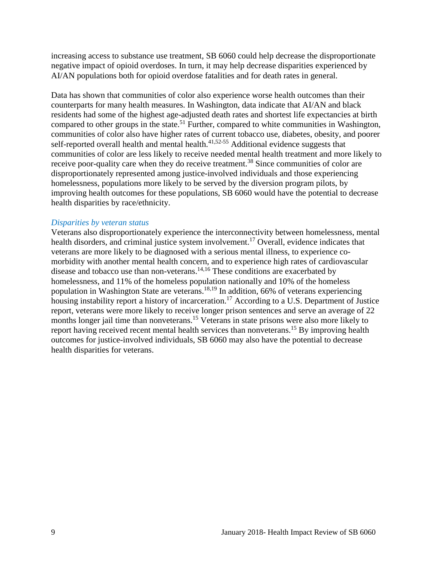increasing access to substance use treatment, SB 6060 could help decrease the disproportionate negative impact of opioid overdoses. In turn, it may help decrease disparities experienced by AI/AN populations both for opioid overdose fatalities and for death rates in general.

Data has shown that communities of color also experience worse health outcomes than their counterparts for many health measures. In Washington, data indicate that AI/AN and black residents had some of the highest age-adjusted death rates and shortest life expectancies at birth compared to other groups in the state.<sup>51</sup> Further, compared to white communities in Washington, communities of color also have higher rates of current tobacco use, diabetes, obesity, and poorer self-reported overall health and mental health. $41,52-55$  $41,52-55$  Additional evidence suggests that communities of color are less likely to receive needed mental health treatment and more likely to receive poor-quality care when they do receive treatment.<sup>38</sup> Since communities of color are disproportionately represented among justice-involved individuals and those experiencing homelessness, populations more likely to be served by the diversion program pilots, by improving health outcomes for these populations, SB 6060 would have the potential to decrease health disparities by race/ethnicity.

#### *Disparities by veteran status*

<span id="page-10-0"></span>Veterans also disproportionately experience the interconnectivity between homelessness, mental health disorders, and criminal justice system involvement.<sup>17</sup> Overall, evidence indicates that veterans are more likely to be diagnosed with a serious mental illness, to experience comorbidity with another mental health concern, and to experience high rates of cardiovascular disease and tobacco use than non-veterans.<sup>[14](#page-16-1)[,16](#page-17-2)</sup> These conditions are exacerbated by homelessness, and 11% of the homeless population nationally and 10% of the homeless population in Washington State are veterans. [18,](#page-17-3)[19](#page-17-1) In addition, 66% of veterans experiencing housing instability report a history of incarceration.<sup>17</sup> According to a U.S. Department of Justice report, veterans were more likely to receive longer prison sentences and serve an average of 22 months longer jail time than nonveterans.<sup>15</sup> Veterans in state prisons were also more likely to report having received recent mental health services than nonveterans.<sup>15</sup> By improving health outcomes for justice-involved individuals, SB 6060 may also have the potential to decrease health disparities for veterans.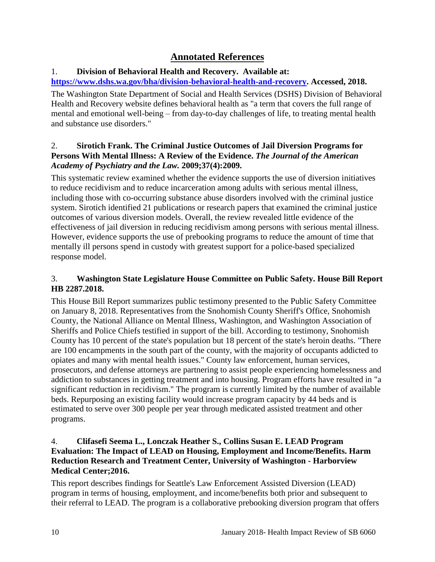## **Annotated References**

## 1. **Division of Behavioral Health and Recovery. Available at:**

## **[https://www.dshs.wa.gov/bha/division-behavioral-health-and-recovery.](https://www.dshs.wa.gov/bha/division-behavioral-health-and-recovery) Accessed, 2018.**

The Washington State Department of Social and Health Services (DSHS) Division of Behavioral Health and Recovery website defines behavioral health as "a term that covers the full range of mental and emotional well-being – from day-to-day challenges of life, to treating mental health and substance use disorders."

## <span id="page-11-0"></span>2. **Sirotich Frank. The Criminal Justice Outcomes of Jail Diversion Programs for Persons With Mental Illness: A Review of the Evidence.** *The Journal of the American Academy of Psychiatry and the Law.* **2009;37(4):2009.**

This systematic review examined whether the evidence supports the use of diversion initiatives to reduce recidivism and to reduce incarceration among adults with serious mental illness, including those with co-occurring substance abuse disorders involved with the criminal justice system. Sirotich identified 21 publications or research papers that examined the criminal justice outcomes of various diversion models. Overall, the review revealed little evidence of the effectiveness of jail diversion in reducing recidivism among persons with serious mental illness. However, evidence supports the use of prebooking programs to reduce the amount of time that mentally ill persons spend in custody with greatest support for a police-based specialized response model.

## 3. **Washington State Legislature House Committee on Public Safety. House Bill Report HB 2287.2018.**

This House Bill Report summarizes public testimony presented to the Public Safety Committee on January 8, 2018. Representatives from the Snohomish County Sheriff's Office, Snohomish County, the National Alliance on Mental Illness, Washington, and Washington Association of Sheriffs and Police Chiefs testified in support of the bill. According to testimony, Snohomish County has 10 percent of the state's population but 18 percent of the state's heroin deaths. "There are 100 encampments in the south part of the county, with the majority of occupants addicted to opiates and many with mental health issues." County law enforcement, human services, prosecutors, and defense attorneys are partnering to assist people experiencing homelessness and addiction to substances in getting treatment and into housing. Program efforts have resulted in "a significant reduction in recidivism." The program is currently limited by the number of available beds. Repurposing an existing facility would increase program capacity by 44 beds and is estimated to serve over 300 people per year through medicated assisted treatment and other programs.

## <span id="page-11-1"></span>4. **Clifasefi Seema L., Lonczak Heather S., Collins Susan E. LEAD Program Evaluation: The Impact of LEAD on Housing, Employment and Income/Benefits. Harm Reduction Research and Treatment Center, University of Washington - Harborview Medical Center;2016.**

This report describes findings for Seattle's Law Enforcement Assisted Diversion (LEAD) program in terms of housing, employment, and income/benefits both prior and subsequent to their referral to LEAD. The program is a collaborative prebooking diversion program that offers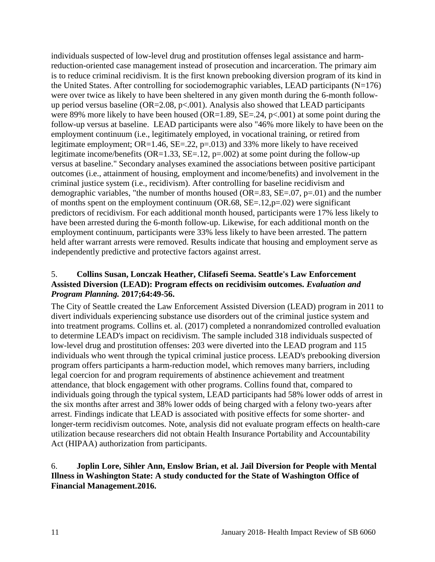individuals suspected of low-level drug and prostitution offenses legal assistance and harmreduction-oriented case management instead of prosecution and incarceration. The primary aim is to reduce criminal recidivism. It is the first known prebooking diversion program of its kind in the United States. After controlling for sociodemographic variables, LEAD participants  $(N=176)$ were over twice as likely to have been sheltered in any given month during the 6-month followup period versus baseline ( $OR = 2.08$ ,  $p < .001$ ). Analysis also showed that LEAD participants were 89% more likely to have been housed (OR=1.89, SE=.24,  $p<0.001$ ) at some point during the follow-up versus at baseline. LEAD participants were also "46% more likely to have been on the employment continuum (i.e., legitimately employed, in vocational training, or retired from legitimate employment; OR=1.46, SE=.22, p=.013) and 33% more likely to have received legitimate income/benefits (OR=1.33, SE=.12,  $p=0.002$ ) at some point during the follow-up versus at baseline." Secondary analyses examined the associations between positive participant outcomes (i.e., attainment of housing, employment and income/benefits) and involvement in the criminal justice system (i.e., recidivism). After controlling for baseline recidivism and demographic variables, "the number of months housed ( $OR=.83$ ,  $SE=.07$ ,  $p=.01$ ) and the number of months spent on the employment continuum (OR.68,  $SE = .12$ ,  $p = .02$ ) were significant predictors of recidivism. For each additional month housed, participants were 17% less likely to have been arrested during the 6-month follow-up. Likewise, for each additional month on the employment continuum, participants were 33% less likely to have been arrested. The pattern held after warrant arrests were removed. Results indicate that housing and employment serve as independently predictive and protective factors against arrest.

## <span id="page-12-1"></span>5. **Collins Susan, Lonczak Heather, Clifasefi Seema. Seattle's Law Enforcement Assisted Diversion (LEAD): Program effects on recidivisim outcomes.** *Evaluation and Program Planning.* **2017;64:49-56.**

The City of Seattle created the Law Enforcement Assisted Diversion (LEAD) program in 2011 to divert individuals experiencing substance use disorders out of the criminal justice system and into treatment programs. Collins et. al. (2017) completed a nonrandomized controlled evaluation to determine LEAD's impact on recidivism. The sample included 318 individuals suspected of low-level drug and prostitution offenses: 203 were diverted into the LEAD program and 115 individuals who went through the typical criminal justice process. LEAD's prebooking diversion program offers participants a harm-reduction model, which removes many barriers, including legal coercion for and program requirements of abstinence achievement and treatment attendance, that block engagement with other programs. Collins found that, compared to individuals going through the typical system, LEAD participants had 58% lower odds of arrest in the six months after arrest and 38% lower odds of being charged with a felony two-years after arrest. Findings indicate that LEAD is associated with positive effects for some shorter- and longer-term recidivism outcomes. Note, analysis did not evaluate program effects on health-care utilization because researchers did not obtain Health Insurance Portability and Accountability Act (HIPAA) authorization from participants.

#### <span id="page-12-0"></span>6. **Joplin Lore, Sihler Ann, Enslow Brian, et al. Jail Diversion for People with Mental Illness in Washington State: A study conducted for the State of Washington Office of Financial Management.2016.**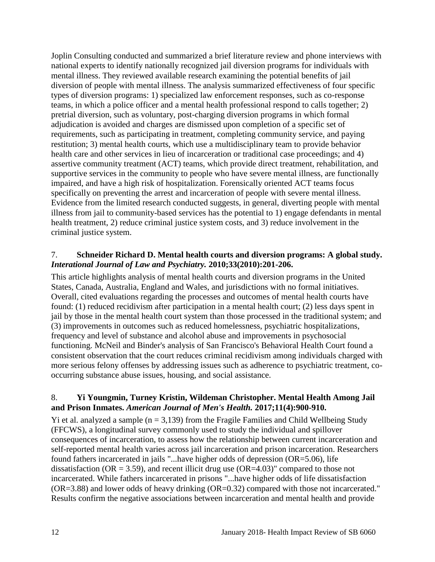Joplin Consulting conducted and summarized a brief literature review and phone interviews with national experts to identify nationally recognized jail diversion programs for individuals with mental illness. They reviewed available research examining the potential benefits of jail diversion of people with mental illness. The analysis summarized effectiveness of four specific types of diversion programs: 1) specialized law enforcement responses, such as co-response teams, in which a police officer and a mental health professional respond to calls together; 2) pretrial diversion, such as voluntary, post-charging diversion programs in which formal adjudication is avoided and charges are dismissed upon completion of a specific set of requirements, such as participating in treatment, completing community service, and paying restitution; 3) mental health courts, which use a multidisciplinary team to provide behavior health care and other services in lieu of incarceration or traditional case proceedings; and 4) assertive community treatment (ACT) teams, which provide direct treatment, rehabilitation, and supportive services in the community to people who have severe mental illness, are functionally impaired, and have a high risk of hospitalization. Forensically oriented ACT teams focus specifically on preventing the arrest and incarceration of people with severe mental illness. Evidence from the limited research conducted suggests, in general, diverting people with mental illness from jail to community-based services has the potential to 1) engage defendants in mental health treatment, 2) reduce criminal justice system costs, and 3) reduce involvement in the criminal justice system.

#### <span id="page-13-0"></span>7. **Schneider Richard D. Mental health courts and diversion programs: A global study.**  *Interational Journal of Law and Psychiatry.* **2010;33(2010):201-206.**

This article highlights analysis of mental health courts and diversion programs in the United States, Canada, Australia, England and Wales, and jurisdictions with no formal initiatives. Overall, cited evaluations regarding the processes and outcomes of mental health courts have found: (1) reduced recidivism after participation in a mental health court; (2) less days spent in jail by those in the mental health court system than those processed in the traditional system; and (3) improvements in outcomes such as reduced homelessness, psychiatric hospitalizations, frequency and level of substance and alcohol abuse and improvements in psychosocial functioning. McNeil and Binder's analysis of San Francisco's Behavioral Health Court found a consistent observation that the court reduces criminal recidivism among individuals charged with more serious felony offenses by addressing issues such as adherence to psychiatric treatment, cooccurring substance abuse issues, housing, and social assistance.

## <span id="page-13-1"></span>8. **Yi Youngmin, Turney Kristin, Wildeman Christopher. Mental Health Among Jail and Prison Inmates.** *American Journal of Men's Health.* **2017;11(4):900-910.**

Yi et al. analyzed a sample  $(n = 3,139)$  from the Fragile Families and Child Wellbeing Study (FFCWS), a longitudinal survey commonly used to study the individual and spillover consequences of incarceration, to assess how the relationship between current incarceration and self-reported mental health varies across jail incarceration and prison incarceration. Researchers found fathers incarcerated in jails "...have higher odds of depression (OR=5.06), life dissatisfaction ( $OR = 3.59$ ), and recent illicit drug use ( $OR = 4.03$ )" compared to those not incarcerated. While fathers incarcerated in prisons "...have higher odds of life dissatisfaction (OR=3.88) and lower odds of heavy drinking (OR=0.32) compared with those not incarcerated." Results confirm the negative associations between incarceration and mental health and provide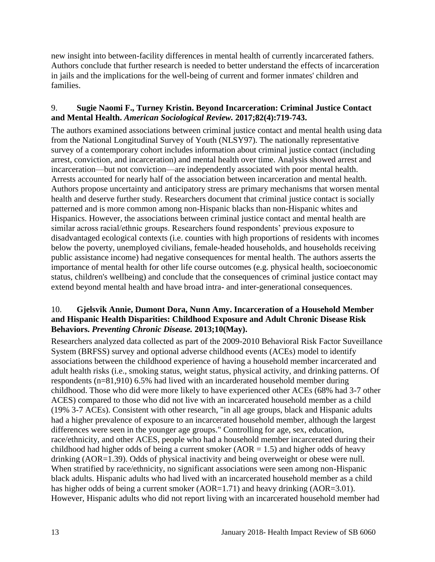new insight into between-facility differences in mental health of currently incarcerated fathers. Authors conclude that further research is needed to better understand the effects of incarceration in jails and the implications for the well-being of current and former inmates' children and families.

## <span id="page-14-0"></span>9. **Sugie Naomi F., Turney Kristin. Beyond Incarceration: Criminal Justice Contact and Mental Health.** *American Sociological Review.* **2017;82(4):719-743.**

The authors examined associations between criminal justice contact and mental health using data from the National Longitudinal Survey of Youth (NLSY97). The nationally representative survey of a contemporary cohort includes information about criminal justice contact (including arrest, conviction, and incarceration) and mental health over time. Analysis showed arrest and incarceration—but not conviction—are independently associated with poor mental health. Arrests accounted for nearly half of the association between incarceration and mental health. Authors propose uncertainty and anticipatory stress are primary mechanisms that worsen mental health and deserve further study. Researchers document that criminal justice contact is socially patterned and is more common among non-Hispanic blacks than non-Hispanic whites and Hispanics. However, the associations between criminal justice contact and mental health are similar across racial/ethnic groups. Researchers found respondents' previous exposure to disadvantaged ecological contexts (i.e. counties with high proportions of residents with incomes below the poverty, unemployed civilians, female-headed households, and households receiving public assistance income) had negative consequences for mental health. The authors asserts the importance of mental health for other life course outcomes (e.g. physical health, socioeconomic status, children's wellbeing) and conclude that the consequences of criminal justice contact may extend beyond mental health and have broad intra- and inter-generational consequences.

## 10. **Gjelsvik Annie, Dumont Dora, Nunn Amy. Incarceration of a Household Member and Hispanic Health Disparities: Childhood Exposure and Adult Chronic Disease Risk Behaviors.** *Preventing Chronic Disease.* **2013;10(May).**

Researchers analyzed data collected as part of the 2009-2010 Behavioral Risk Factor Suveillance System (BRFSS) survey and optional adverse childhood events (ACEs) model to identify associations between the childhood experience of having a household member incarcerated and adult health risks (i.e., smoking status, weight status, physical activity, and drinking patterns. Of respondents (n=81,910) 6.5% had lived with an incarderated household member during childhood. Those who did were more likely to have experienced other ACEs (68% had 3-7 other ACES) compared to those who did not live with an incarcerated household member as a child (19% 3-7 ACEs). Consistent with other research, "in all age groups, black and Hispanic adults had a higher prevalence of exposure to an incarcerated household member, although the largest differences were seen in the younger age groups." Controlling for age, sex, education, race/ethnicity, and other ACES, people who had a household member incarcerated during their childhood had higher odds of being a current smoker ( $AOR = 1.5$ ) and higher odds of heavy drinking (AOR=1.39). Odds of physical inactivity and being overweight or obese were null. When stratified by race/ethnicity, no significant associations were seen among non-Hispanic black adults. Hispanic adults who had lived with an incarcerated household member as a child has higher odds of being a current smoker (AOR=1.71) and heavy drinking (AOR=3.01). However, Hispanic adults who did not report living with an incarcerated household member had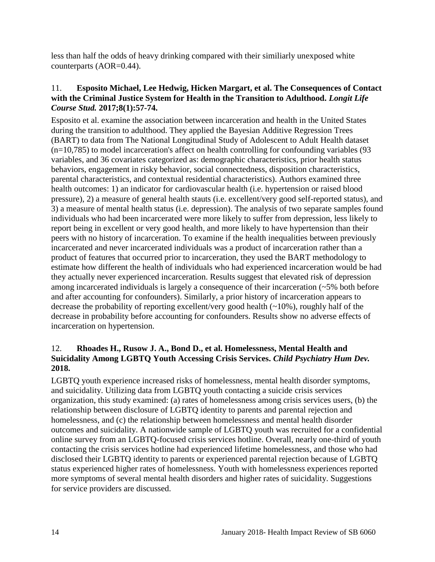less than half the odds of heavy drinking compared with their similiarly unexposed white counterparts (AOR=0.44).

#### <span id="page-15-1"></span>11. **Esposito Michael, Lee Hedwig, Hicken Margart, et al. The Consequences of Contact with the Criminal Justice System for Health in the Transition to Adulthood.** *Longit Life Course Stud.* **2017;8(1):57-74.**

Esposito et al. examine the association between incarceration and health in the United States during the transition to adulthood. They applied the Bayesian Additive Regression Trees (BART) to data from The National Longitudinal Study of Adolescent to Adult Health dataset (n=10,785) to model incarceration's affect on health controlling for confounding variables (93 variables, and 36 covariates categorized as: demographic characteristics, prior health status behaviors, engagement in risky behavior, social connectedness, disposition characteristics, parental characteristics, and contextual residential characteristics). Authors examined three health outcomes: 1) an indicator for cardiovascular health (i.e. hypertension or raised blood pressure), 2) a measure of general health stauts (i.e. excellent/very good self-reported status), and 3) a measure of mental health status (i.e. depression). The analysis of two separate samples found individuals who had been incarcerated were more likely to suffer from depression, less likely to report being in excellent or very good health, and more likely to have hypertension than their peers with no history of incarceration. To examine if the health inequalities between previously incarcerated and never incarcerated individuals was a product of incarceration rather than a product of features that occurred prior to incarceration, they used the BART methodology to estimate how different the health of individuals who had experienced incarceration would be had they actually never experienced incarceration. Results suggest that elevated risk of depression among incarcerated individuals is largely a consequence of their incarceration (~5% both before and after accounting for confounders). Similarly, a prior history of incarceration appears to decrease the probability of reporting excellent/very good health  $(\sim 10\%)$ , roughly half of the decrease in probability before accounting for confounders. Results show no adverse effects of incarceration on hypertension.

## <span id="page-15-0"></span>12. **Rhoades H., Rusow J. A., Bond D., et al. Homelessness, Mental Health and Suicidality Among LGBTQ Youth Accessing Crisis Services.** *Child Psychiatry Hum Dev.*  **2018.**

LGBTQ youth experience increased risks of homelessness, mental health disorder symptoms, and suicidality. Utilizing data from LGBTQ youth contacting a suicide crisis services organization, this study examined: (a) rates of homelessness among crisis services users, (b) the relationship between disclosure of LGBTQ identity to parents and parental rejection and homelessness, and (c) the relationship between homelessness and mental health disorder outcomes and suicidality. A nationwide sample of LGBTQ youth was recruited for a confidential online survey from an LGBTQ-focused crisis services hotline. Overall, nearly one-third of youth contacting the crisis services hotline had experienced lifetime homelessness, and those who had disclosed their LGBTQ identity to parents or experienced parental rejection because of LGBTQ status experienced higher rates of homelessness. Youth with homelessness experiences reported more symptoms of several mental health disorders and higher rates of suicidality. Suggestions for service providers are discussed.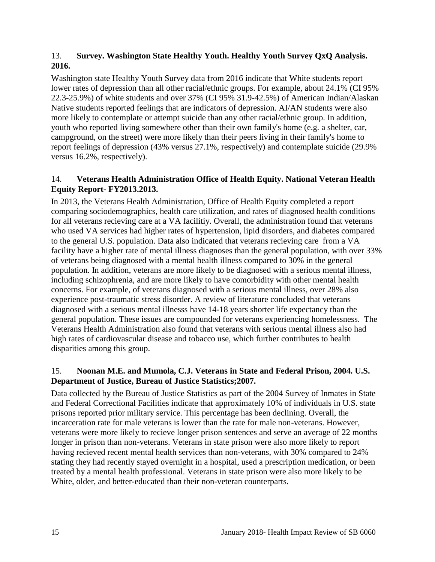## <span id="page-16-0"></span>13. **Survey. Washington State Healthy Youth. Healthy Youth Survey QxQ Analysis. 2016.**

Washington state Healthy Youth Survey data from 2016 indicate that White students report lower rates of depression than all other racial/ethnic groups. For example, about 24.1% (CI 95% 22.3-25.9%) of white students and over 37% (CI 95% 31.9-42.5%) of American Indian/Alaskan Native students reported feelings that are indicators of depression. AI/AN students were also more likely to contemplate or attempt suicide than any other racial/ethnic group. In addition, youth who reported living somewhere other than their own family's home (e.g. a shelter, car, campground, on the street) were more likely than their peers living in their family's home to report feelings of depression (43% versus 27.1%, respectively) and contemplate suicide (29.9% versus 16.2%, respectively).

## <span id="page-16-1"></span>14. **Veterans Health Administration Office of Health Equity. National Veteran Health Equity Report- FY2013.2013.**

In 2013, the Veterans Health Administration, Office of Health Equity completed a report comparing sociodemographics, health care utilization, and rates of diagnosed health conditions for all veterans recieving care at a VA facilitiy. Overall, the administration found that veterans who used VA services had higher rates of hypertension, lipid disorders, and diabetes compared to the general U.S. population. Data also indicated that veterans recieving care from a VA facility have a higher rate of mental illness diagnoses than the general population, with over 33% of veterans being diagnosed with a mental health illness compared to 30% in the general population. In addition, veterans are more likely to be diagnosed with a serious mental illness, including schizophrenia, and are more likely to have comorbidity with other mental health concerns. For example, of veterans diagnosed with a serious mental illness, over 28% also experience post-traumatic stress disorder. A review of literature concluded that veterans diagnosed with a serious mental illnesss have 14-18 years shorter life expectancy than the general population. These issues are compounded for veterans experiencing homelessness. The Veterans Health Administration also found that veterans with serious mental illness also had high rates of cardiovascular disease and tobacco use, which further contributes to health disparities among this group.

#### 15. **Noonan M.E. and Mumola, C.J. Veterans in State and Federal Prison, 2004. U.S. Department of Justice, Bureau of Justice Statistics;2007.**

Data collected by the Bureau of Justice Statistics as part of the 2004 Survey of Inmates in State and Federal Correctional Facilities indicate that approximately 10% of individuals in U.S. state prisons reported prior military service. This percentage has been declining. Overall, the incarceration rate for male veterans is lower than the rate for male non-veterans. However, veterans were more likely to recieve longer prison sentences and serve an average of 22 months longer in prison than non-veterans. Veterans in state prison were also more likely to report having recieved recent mental health services than non-veterans, with 30% compared to 24% stating they had recently stayed overnight in a hospital, used a prescription medication, or been treated by a mental health professional. Veterans in state prison were also more likely to be White, older, and better-educated than their non-veteran counterparts.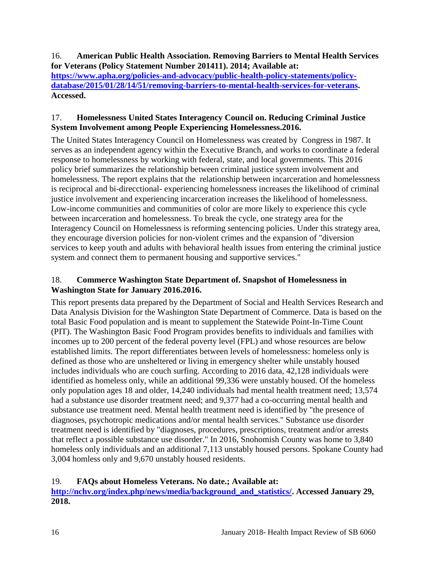<span id="page-17-2"></span>16. **American Public Health Association. Removing Barriers to Mental Health Services for Veterans (Policy Statement Number 201411). 2014; Available at: [https://www.apha.org/policies-and-advocacy/public-health-policy-statements/policy](https://www.apha.org/policies-and-advocacy/public-health-policy-statements/policy-database/2015/01/28/14/51/removing-barriers-to-mental-health-services-for-veterans)[database/2015/01/28/14/51/removing-barriers-to-mental-health-services-for-veterans.](https://www.apha.org/policies-and-advocacy/public-health-policy-statements/policy-database/2015/01/28/14/51/removing-barriers-to-mental-health-services-for-veterans) Accessed.**

## <span id="page-17-0"></span>17. **Homelessness United States Interagency Council on. Reducing Criminal Justice System Involvement among People Experiencing Homelessness.2016.**

The United States Interagency Council on Homelessness was created by Congress in 1987. It serves as an independent agency within the Executive Branch, and works to coordinate a federal response to homelessness by working with federal, state, and local governments. This 2016 policy brief summarizes the relationship between criminal justice system involvement and homelessness. The report explains that the relationship between incarceration and homelessness is reciprocal and bi-direcctional- experiencing homelessness increases the likelihood of criminal justice involvement and experiencing incarceration increases the likelihood of homelessness. Low-income communities and communities of color are more likely to experience this cycle between incarceration and homelessness. To break the cycle, one strategy area for the Interagency Council on Homelessness is reforming sentencing policies. Under this strategy area, they encourage diversion policies for non-violent crimes and the expansion of "diversion services to keep youth and adults with behavioral health issues from entering the criminal justice system and connect them to permanent housing and supportive services."

## <span id="page-17-3"></span>18. **Commerce Washington State Department of. Snapshot of Homelessness in Washington State for January 2016.2016.**

This report presents data prepared by the Department of Social and Health Services Research and Data Analysis Division for the Washington State Department of Commerce. Data is based on the total Basic Food population and is meant to supplement the Statewide Point-In-Time Count (PIT). The Washington Basic Food Program provides benefits to individuals and families with incomes up to 200 percent of the federal poverty level (FPL) and whose resources are below established limits. The report differentiates between levels of homelessness: homeless only is defined as those who are unsheltered or living in emergency shelter while unstably housed includes individuals who are couch surfing. According to 2016 data, 42,128 individuals were identified as homeless only, while an additional 99,336 were unstably housed. Of the homeless only population ages 18 and older, 14,240 individuals had mental health treatment need; 13,574 had a substance use disorder treatment need; and 9,377 had a co-occurring mental health and substance use treatment need. Mental health treatment need is identified by "the presence of diagnoses, psychotropic medications and/or mental health services." Substance use disorder treatment need is identified by "diagnoses, procedures, prescriptions, treatment and/or arrests that reflect a possible substance use disorder." In 2016, Snohomish County was home to 3,840 homeless only individuals and an additional 7,113 unstably housed persons. Spokane County had 3,004 homless only and 9,670 unstably housed residents.

## <span id="page-17-1"></span>19. **FAQs about Homeless Veterans. No date.; Available at:**

**[http://nchv.org/index.php/news/media/background\\_and\\_statistics/.](http://nchv.org/index.php/news/media/background_and_statistics/) Accessed January 29, 2018.**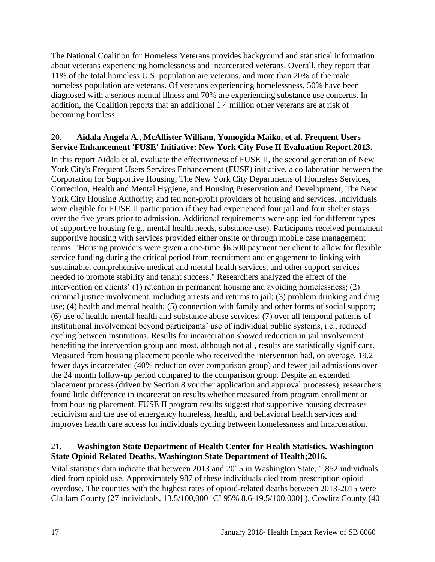The National Coalition for Homeless Veterans provides background and statistical information about veterans experiencing homelessness and incarcerated veterans. Overall, they report that 11% of the total homeless U.S. population are veterans, and more than 20% of the male homeless population are veterans. Of veterans experiencing homelessness, 50% have been diagnosed with a serious mental illness and 70% are experiencing substance use concerns. In addition, the Coalition reports that an additional 1.4 million other veterans are at risk of becoming homless.

#### <span id="page-18-1"></span>20. **Aidala Angela A., McAllister William, Yomogida Maiko, et al. Frequent Users Service Enhancement 'FUSE' Initiative: New York City Fuse II Evaluation Report.2013.**

In this report Aidala et al. evaluate the effectiveness of FUSE II, the second generation of New York City's Frequent Users Services Enhancement (FUSE) initiative, a collaboration between the Corporation for Supportive Housing; The New York City Departments of Homeless Services, Correction, Health and Mental Hygiene, and Housing Preservation and Development; The New York City Housing Authority; and ten non-profit providers of housing and services. Individuals were eligible for FUSE II participation if they had experienced four jail and four shelter stays over the five years prior to admission. Additional requirements were applied for different types of supportive housing (e.g., mental health needs, substance-use). Participants received permanent supportive housing with services provided either onsite or through mobile case management teams. "Housing providers were given a one-time \$6,500 payment per client to allow for flexible service funding during the critical period from recruitment and engagement to linking with sustainable, comprehensive medical and mental health services, and other support services needed to promote stability and tenant success." Researchers analyzed the effect of the intervention on clients' (1) retention in permanent housing and avoiding homelessness; (2) criminal justice involvement, including arrests and returns to jail; (3) problem drinking and drug use; (4) health and mental health; (5) connection with family and other forms of social support; (6) use of health, mental health and substance abuse services; (7) over all temporal patterns of institutional involvement beyond participants' use of individual public systems, i.e., reduced cycling between institutions. Results for incarceration showed reduction in jail involvement benefiting the intervention group and most, although not all, results are statistically significant. Measured from housing placement people who received the intervention had, on average, 19.2 fewer days incarcerated (40% reduction over comparison group) and fewer jail admissions over the 24 month follow-up period compared to the comparison group. Despite an extended placement process (driven by Section 8 voucher application and approval processes), researchers found little difference in incarceration results whether measured from program enrollment or from housing placement. FUSE II program results suggest that supportive housing decreases recidivism and the use of emergency homeless, health, and behavioral health services and improves health care access for individuals cycling between homelessness and incarceration.

## <span id="page-18-0"></span>21. **Washington State Department of Health Center for Health Statistics. Washington State Opioid Related Deaths. Washington State Department of Health;2016.**

Vital statistics data indicate that between 2013 and 2015 in Washington State, 1,852 individuals died from opioid use. Approximately 987 of these individuals died from prescription opioid overdose. The counties with the highest rates of opioid-related deaths between 2013-2015 were Clallam County (27 individuals, 13.5/100,000 [CI 95% 8.6-19.5/100,000] ), Cowlitz County (40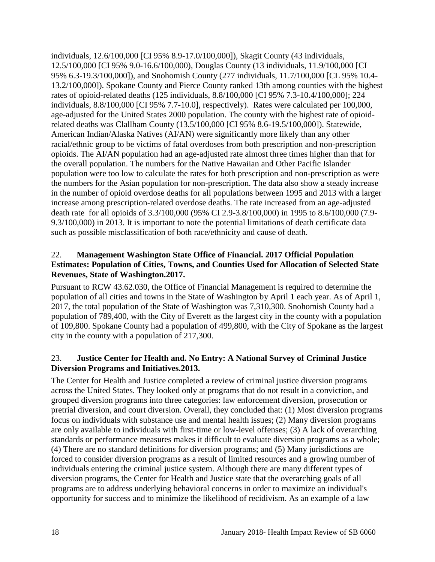individuals, 12.6/100,000 [CI 95% 8.9-17.0/100,000]), Skagit County (43 individuals, 12.5/100,000 [CI 95% 9.0-16.6/100,000), Douglas County (13 individuals, 11.9/100,000 [CI 95% 6.3-19.3/100,000]), and Snohomish County (277 individuals, 11.7/100,000 [CL 95% 10.4- 13.2/100,000]). Spokane County and Pierce County ranked 13th among counties with the highest rates of opioid-related deaths (125 individuals, 8.8/100,000 [CI 95% 7.3-10.4/100,000]; 224 individuals, 8.8/100,000 [CI 95% 7.7-10.0], respectively). Rates were calculated per 100,000, age-adjusted for the United States 2000 population. The county with the highest rate of opioidrelated deaths was Clallham County (13.5/100,000 [CI 95% 8.6-19.5/100,000]). Statewide, American Indian/Alaska Natives (AI/AN) were significantly more likely than any other racial/ethnic group to be victims of fatal overdoses from both prescription and non-prescription opioids. The AI/AN population had an age-adjusted rate almost three times higher than that for the overall population. The numbers for the Native Hawaiian and Other Pacific Islander population were too low to calculate the rates for both prescription and non-prescription as were the numbers for the Asian population for non-prescription. The data also show a steady increase in the number of opioid overdose deaths for all populations between 1995 and 2013 with a larger increase among prescription-related overdose deaths. The rate increased from an age-adjusted death rate for all opioids of 3.3/100,000 (95% CI 2.9-3.8/100,000) in 1995 to 8.6/100,000 (7.9- 9.3/100,000) in 2013. It is important to note the potential limitations of death certificate data such as possible misclassification of both race/ethnicity and cause of death.

#### 22. **Management Washington State Office of Financial. 2017 Official Population Estimates: Population of Cities, Towns, and Counties Used for Allocation of Selected State Revenues, State of Washington.2017.**

Pursuant to RCW 43.62.030, the Office of Financial Management is required to determine the population of all cities and towns in the State of Washington by April 1 each year. As of April 1, 2017, the total population of the State of Washington was 7,310,300. Snohomish County had a population of 789,400, with the City of Everett as the largest city in the county with a population of 109,800. Spokane County had a population of 499,800, with the City of Spokane as the largest city in the county with a population of 217,300.

## 23. **Justice Center for Health and. No Entry: A National Survey of Criminal Justice Diversion Programs and Initiatives.2013.**

The Center for Health and Justice completed a review of criminal justice diversion programs across the United States. They looked only at programs that do not result in a conviction, and grouped diversion programs into three categories: law enforcement diversion, prosecution or pretrial diversion, and court diversion. Overall, they concluded that: (1) Most diversion programs focus on individuals with substance use and mental health issues; (2) Many diversion programs are only available to individuals with first-time or low-level offenses; (3) A lack of overarching standards or performance measures makes it difficult to evaluate diversion programs as a whole; (4) There are no standard definitions for diversion programs; and (5) Many jurisdictions are forced to consider diversion programs as a result of limited resources and a growing number of individuals entering the criminal justice system. Although there are many different types of diversion programs, the Center for Health and Justice state that the overarching goals of all programs are to address underlying behavioral concerns in order to maximize an individual's opportunity for success and to minimize the likelihood of recidivism. As an example of a law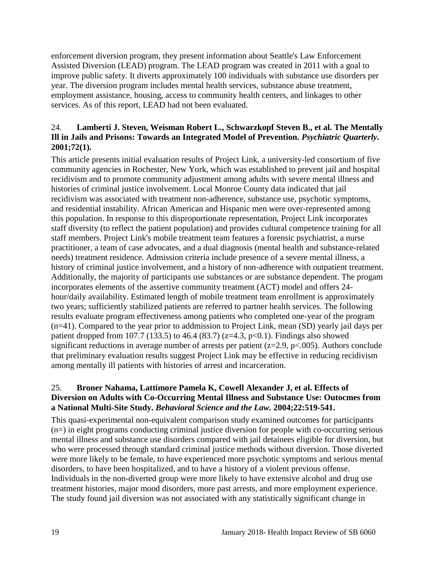enforcement diversion program, they present information about Seattle's Law Enforcement Assisted Diversion (LEAD) program. The LEAD program was created in 2011 with a goal to improve public safety. It diverts approximately 100 individuals with substance use disorders per year. The diversion program includes mental health services, substance abuse treatment, employment assistance, housing, access to community health centers, and linkages to other services. As of this report, LEAD had not been evaluated.

#### <span id="page-20-0"></span>24. **Lamberti J. Steven, Weisman Robert L., Schwarzkopf Steven B., et al. The Mentally Ill in Jails and Prisons: Towards an Integrated Model of Prevention.** *Psychiatric Quarterly.*  **2001;72(1).**

This article presents initial evaluation results of Project Link, a university-led consortium of five community agencies in Rochester, New York, which was established to prevent jail and hospital recidivism and to promote community adjustment among adults with severe mental illness and histories of criminal justice involvement. Local Monroe County data indicated that jail recidivism was associated with treatment non-adherence, substance use, psychotic symptoms, and residential instability. African American and Hispanic men were over-represented among this population. In response to this disproportionate representation, Project Link incorporates staff diversity (to reflect the patient population) and provides cultural competence training for all staff members. Project Link's mobile treatment team features a forensic psychiatrist, a nurse practitioner, a team of case advocates, and a dual diagnosis (mental health and substance-related needs) treatment residence. Admission criteria include presence of a severe mental illness, a history of criminal justice involvement, and a history of non-adherence with outpatient treatment. Additionally, the majority of participants use substances or are substance dependent. The progam incorporates elements of the assertive community treatment (ACT) model and offers 24 hour/daily availability. Estimated length of mobile treatment team enrollment is approximately two years; sufficiently stabilized patients are referred to partner health services. The following results evaluate program effectiveness among patients who completed one-year of the program (n=41). Compared to the year prior to addmission to Project Link, mean (SD) yearly jail days per patient dropped from 107.7 (133.5) to 46.4 (83.7) ( $z=4.3$ ,  $p<0.1$ ). Findings also showed significant reductions in average number of arrests per patient ( $z=2.9$ ,  $p<.005$ ). Authors conclude that preliminary evaluation results suggest Project Link may be effective in reducing recidivism among mentally ill patients with histories of arrest and incarceration.

#### <span id="page-20-1"></span>25. **Broner Nahama, Lattimore Pamela K, Cowell Alexander J, et al. Effects of Diversion on Adults with Co-Occurring Mental Illness and Substance Use: Outocmes from a National Multi-Site Study.** *Behavioral Science and the Law.* **2004;22:519-541.**

This quasi-experimental non-equivalent comparison study examined outcomes for participants (n=) in eight programs conducting criminal justice diversion for people with co-occurring serious mental illness and substance use disorders compared with jail detainees eligible for diversion, but who were processed through standard criminal justice methods without diversion. Those diverted were more likely to be female, to have experienced more psychotic symptoms and serious mental disorders, to have been hospitalized, and to have a history of a violent previous offense. Individuals in the non-diverted group were more likely to have extensive alcohol and drug use treatment histories, major mood disorders, more past arrests, and more employment experience. The study found jail diversion was not associated with any statistically significant change in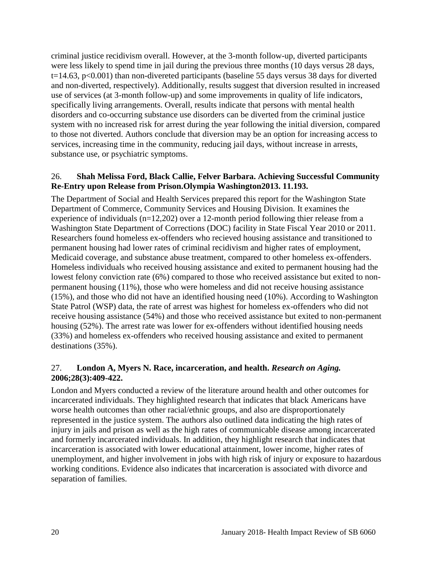criminal justice recidivism overall. However, at the 3-month follow-up, diverted participants were less likely to spend time in jail during the previous three months (10 days versus 28 days, t=14.63, p<0.001) than non-divereted participants (baseline 55 days versus 38 days for diverted and non-diverted, respectively). Additionally, results suggest that diversion resulted in increased use of services (at 3-month follow-up) and some improvements in quality of life indicators, specifically living arrangements. Overall, results indicate that persons with mental health disorders and co-occurring substance use disorders can be diverted from the criminal justice system with no increased risk for arrest during the year following the initial diversion, compared to those not diverted. Authors conclude that diversion may be an option for increasing access to services, increasing time in the community, reducing jail days, without increase in arrests, substance use, or psychiatric symptoms.

#### <span id="page-21-0"></span>26. **Shah Melissa Ford, Black Callie, Felver Barbara. Achieving Successful Community Re-Entry upon Release from Prison.Olympia Washington2013. 11.193.**

The Department of Social and Health Services prepared this report for the Washington State Department of Commerce, Community Services and Housing Division. It examines the experience of individuals (n=12,202) over a 12-month period following thier release from a Washington State Department of Corrections (DOC) facility in State Fiscal Year 2010 or 2011. Researchers found homeless ex-offenders who recieved housing assistance and transitioned to permanent housing had lower rates of criminal recidivism and higher rates of employment, Medicaid coverage, and substance abuse treatment, compared to other homeless ex-offenders. Homeless individuals who received housing assistance and exited to permanent housing had the lowest felony conviction rate (6%) compared to those who received assistance but exited to nonpermanent housing (11%), those who were homeless and did not receive housing assistance (15%), and those who did not have an identified housing need (10%). According to Washington State Patrol (WSP) data, the rate of arrest was highest for homeless ex-offenders who did not receive housing assistance (54%) and those who received assistance but exited to non-permanent housing (52%). The arrest rate was lower for ex-offenders without identified housing needs (33%) and homeless ex-offenders who received housing assistance and exited to permanent destinations (35%).

#### <span id="page-21-1"></span>27. **London A, Myers N. Race, incarceration, and health.** *Research on Aging.*  **2006;28(3):409-422.**

London and Myers conducted a review of the literature around health and other outcomes for incarcerated individuals. They highlighted research that indicates that black Americans have worse health outcomes than other racial/ethnic groups, and also are disproportionately represented in the justice system. The authors also outlined data indicating the high rates of injury in jails and prison as well as the high rates of communicable disease among incarcerated and formerly incarcerated individuals. In addition, they highlight research that indicates that incarceration is associated with lower educational attainment, lower income, higher rates of unemployment, and higher involvement in jobs with high risk of injury or exposure to hazardous working conditions. Evidence also indicates that incarceration is associated with divorce and separation of families.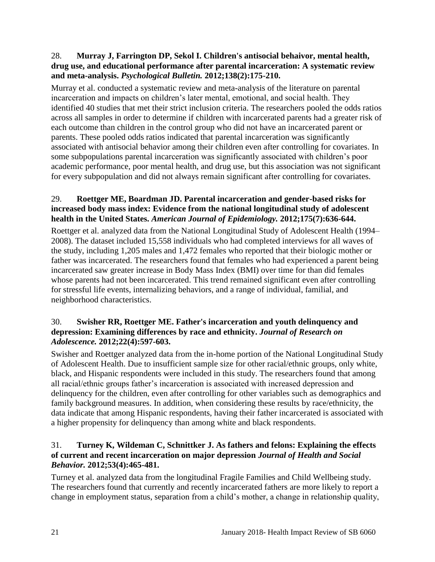## 28. **Murray J, Farrington DP, Sekol I. Children's antisocial behaivor, mental health, drug use, and educational performance after parental incarceration: A systematic review and meta-analysis.** *Psychological Bulletin.* **2012;138(2):175-210.**

Murray et al. conducted a systematic review and meta-analysis of the literature on parental incarceration and impacts on children's later mental, emotional, and social health. They identified 40 studies that met their strict inclusion criteria. The researchers pooled the odds ratios across all samples in order to determine if children with incarcerated parents had a greater risk of each outcome than children in the control group who did not have an incarcerated parent or parents. These pooled odds ratios indicated that parental incarceration was significantly associated with antisocial behavior among their children even after controlling for covariates. In some subpopulations parental incarceration was significantly associated with children's poor academic performance, poor mental health, and drug use, but this association was not significant for every subpopulation and did not always remain significant after controlling for covariates.

## 29. **Roettger ME, Boardman JD. Parental incarceration and gender-based risks for increased body mass index: Evidence from the national longitudinal study of adolescent health in the United States.** *American Journal of Epidemiology.* **2012;175(7):636-644.**

Roettger et al. analyzed data from the National Longitudinal Study of Adolescent Health (1994– 2008). The dataset included 15,558 individuals who had completed interviews for all waves of the study, including 1,205 males and 1,472 females who reported that their biologic mother or father was incarcerated. The researchers found that females who had experienced a parent being incarcerated saw greater increase in Body Mass Index (BMI) over time for than did females whose parents had not been incarcerated. This trend remained significant even after controlling for stressful life events, internalizing behaviors, and a range of individual, familial, and neighborhood characteristics.

## <span id="page-22-0"></span>30. **Swisher RR, Roettger ME. Father's incarceration and youth delinquency and depression: Examining differences by race and ethnicity.** *Journal of Research on Adolescence.* **2012;22(4):597-603.**

Swisher and Roettger analyzed data from the in-home portion of the National Longitudinal Study of Adolescent Health. Due to insufficient sample size for other racial/ethnic groups, only white, black, and Hispanic respondents were included in this study. The researchers found that among all racial/ethnic groups father's incarceration is associated with increased depression and delinquency for the children, even after controlling for other variables such as demographics and family background measures. In addition, when considering these results by race/ethnicity, the data indicate that among Hispanic respondents, having their father incarcerated is associated with a higher propensity for delinquency than among white and black respondents.

## 31. **Turney K, Wildeman C, Schnittker J. As fathers and felons: Explaining the effects of current and recent incarceration on major depression** *Journal of Health and Social Behavior.* **2012;53(4):465-481.**

Turney et al. analyzed data from the longitudinal Fragile Families and Child Wellbeing study. The researchers found that currently and recently incarcerated fathers are more likely to report a change in employment status, separation from a child's mother, a change in relationship quality,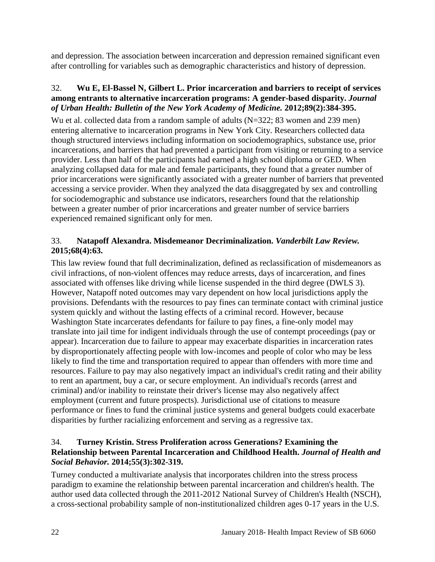and depression. The association between incarceration and depression remained significant even after controlling for variables such as demographic characteristics and history of depression.

## 32. **Wu E, El-Bassel N, Gilbert L. Prior incarceration and barriers to receipt of services among entrants to alternative incarceration programs: A gender-based disparity.** *Journal of Urban Health: Bulletin of the New York Academy of Medicine.* **2012;89(2):384-395.**

Wu et al. collected data from a random sample of adults (N=322; 83 women and 239 men) entering alternative to incarceration programs in New York City. Researchers collected data though structured interviews including information on sociodemographics, substance use, prior incarcerations, and barriers that had prevented a participant from visiting or returning to a service provider. Less than half of the participants had earned a high school diploma or GED. When analyzing collapsed data for male and female participants, they found that a greater number of prior incarcerations were significantly associated with a greater number of barriers that prevented accessing a service provider. When they analyzed the data disaggregated by sex and controlling for sociodemographic and substance use indicators, researchers found that the relationship between a greater number of prior incarcerations and greater number of service barriers experienced remained significant only for men.

## <span id="page-23-0"></span>33. **Natapoff Alexandra. Misdemeanor Decriminalization.** *Vanderbilt Law Review.*  **2015;68(4):63.**

This law review found that full decriminalization, defined as reclassification of misdemeanors as civil infractions, of non-violent offences may reduce arrests, days of incarceration, and fines associated with offenses like driving while license suspended in the third degree (DWLS 3). However, Natapoff noted outcomes may vary dependent on how local jurisdictions apply the provisions. Defendants with the resources to pay fines can terminate contact with criminal justice system quickly and without the lasting effects of a criminal record. However, because Washington State incarcerates defendants for failure to pay fines, a fine-only model may translate into jail time for indigent individuals through the use of contempt proceedings (pay or appear). Incarceration due to failure to appear may exacerbate disparities in incarceration rates by disproportionately affecting people with low-incomes and people of color who may be less likely to find the time and transportation required to appear than offenders with more time and resources. Failure to pay may also negatively impact an individual's credit rating and their ability to rent an apartment, buy a car, or secure employment. An individual's records (arrest and criminal) and/or inability to reinstate their driver's license may also negatively affect employment (current and future prospects). Jurisdictional use of citations to measure performance or fines to fund the criminal justice systems and general budgets could exacerbate disparities by further racializing enforcement and serving as a regressive tax.

## <span id="page-23-1"></span>34. **Turney Kristin. Stress Proliferation across Generations? Examining the Relationship between Parental Incarceration and Childhood Health.** *Journal of Health and Social Behavior.* **2014;55(3):302-319.**

Turney conducted a multivariate analysis that incorporates children into the stress process paradigm to examine the relationship between parental incarceration and children's health. The author used data collected through the 2011-2012 National Survey of Children's Health (NSCH), a cross-sectional probability sample of non-institutionalized children ages 0-17 years in the U.S.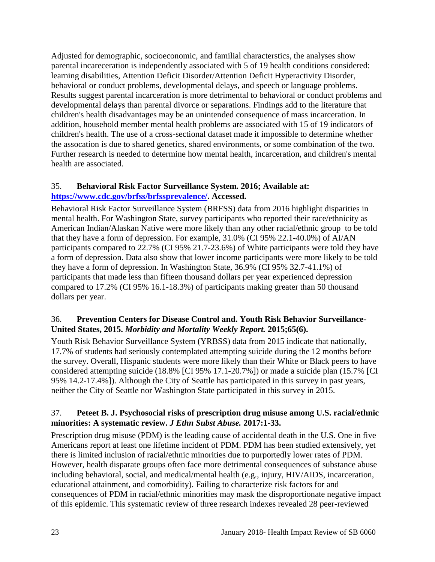Adjusted for demographic, socioeconomic, and familial characterstics, the analyses show parental incareceration is independently associated with 5 of 19 health conditions considered: learning disabilities, Attention Deficit Disorder/Attention Deficit Hyperactivity Disorder, behavioral or conduct problems, developmental delays, and speech or language problems. Results suggest parental incarceration is more detrimental to behavioral or conduct problems and developmental delays than parental divorce or separations. Findings add to the literature that children's health disadvantages may be an unintended consequence of mass incarceration. In addition, household member mental health problems are associated with 15 of 19 indicators of children's health. The use of a cross-sectional dataset made it impossible to determine whether the assocation is due to shared genetics, shared environments, or some combination of the two. Further research is needed to determine how mental health, incarceration, and children's mental health are associated.

## <span id="page-24-0"></span>35. **Behavioral Risk Factor Surveillance System. 2016; Available at: [https://www.cdc.gov/brfss/brfssprevalence/.](https://www.cdc.gov/brfss/brfssprevalence/) Accessed.**

Behavioral Risk Factor Surveillance System (BRFSS) data from 2016 highlight disparities in mental health. For Washington State, survey participants who reported their race/ethnicity as American Indian/Alaskan Native were more likely than any other racial/ethnic group to be told that they have a form of depression. For example, 31.0% (CI 95% 22.1-40.0%) of AI/AN participants compared to 22.7% (CI 95% 21.7-23.6%) of White participants were told they have a form of depression. Data also show that lower income participants were more likely to be told they have a form of depression. In Washington State, 36.9% (CI 95% 32.7-41.1%) of participants that made less than fifteen thousand dollars per year experienced depression compared to 17.2% (CI 95% 16.1-18.3%) of participants making greater than 50 thousand dollars per year.

## 36. **Prevention Centers for Disease Control and. Youth Risk Behavior Surveillance-United States, 2015.** *Morbidity and Mortality Weekly Report.* **2015;65(6).**

Youth Risk Behavior Surveillance System (YRBSS) data from 2015 indicate that nationally, 17.7% of students had seriously contemplated attempting suicide during the 12 months before the survey. Overall, Hispanic students were more likely than their White or Black peers to have considered attempting suicide (18.8% [CI 95% 17.1-20.7%]) or made a suicide plan (15.7% [CI 95% 14.2-17.4%]). Although the City of Seattle has participated in this survey in past years, neither the City of Seattle nor Washington State participated in this survey in 2015.

## 37. **Peteet B. J. Psychosocial risks of prescription drug misuse among U.S. racial/ethnic minorities: A systematic review.** *J Ethn Subst Abuse.* **2017:1-33.**

Prescription drug misuse (PDM) is the leading cause of accidental death in the U.S. One in five Americans report at least one lifetime incident of PDM. PDM has been studied extensively, yet there is limited inclusion of racial/ethnic minorities due to purportedly lower rates of PDM. However, health disparate groups often face more detrimental consequences of substance abuse including behavioral, social, and medical/mental health (e.g., injury, HIV/AIDS, incarceration, educational attainment, and comorbidity). Failing to characterize risk factors for and consequences of PDM in racial/ethnic minorities may mask the disproportionate negative impact of this epidemic. This systematic review of three research indexes revealed 28 peer-reviewed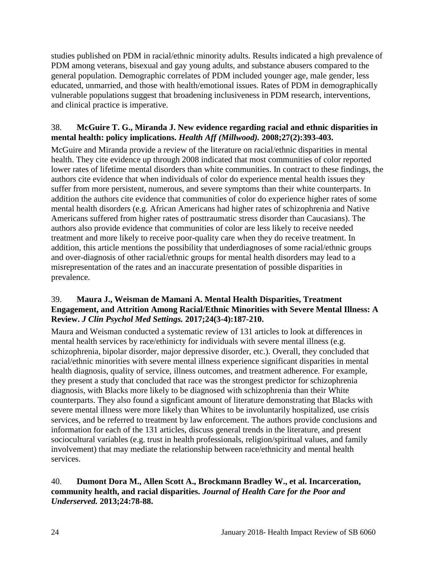studies published on PDM in racial/ethnic minority adults. Results indicated a high prevalence of PDM among veterans, bisexual and gay young adults, and substance abusers compared to the general population. Demographic correlates of PDM included younger age, male gender, less educated, unmarried, and those with health/emotional issues. Rates of PDM in demographically vulnerable populations suggest that broadening inclusiveness in PDM research, interventions, and clinical practice is imperative.

## 38. **McGuire T. G., Miranda J. New evidence regarding racial and ethnic disparities in mental health: policy implications.** *Health Aff (Millwood).* **2008;27(2):393-403.**

McGuire and Miranda provide a review of the literature on racial/ethnic disparities in mental health. They cite evidence up through 2008 indicated that most communities of color reported lower rates of lifetime mental disorders than white communities. In contract to these findings, the authors cite evidence that when individuals of color do experience mental health issues they suffer from more persistent, numerous, and severe symptoms than their white counterparts. In addition the authors cite evidence that communities of color do experience higher rates of some mental health disorders (e.g. African Americans had higher rates of schizophrenia and Native Americans suffered from higher rates of posttraumatic stress disorder than Caucasians). The authors also provide evidence that communities of color are less likely to receive needed treatment and more likely to receive poor-quality care when they do receive treatment. In addition, this article mentions the possibility that underdiagnoses of some racial/ethnic groups and over-diagnosis of other racial/ethnic groups for mental health disorders may lead to a misrepresentation of the rates and an inaccurate presentation of possible disparities in prevalence.

## 39. **Maura J., Weisman de Mamani A. Mental Health Disparities, Treatment Engagement, and Attrition Among Racial/Ethnic Minorities with Severe Mental Illness: A Review.** *J Clin Psychol Med Settings.* **2017;24(3-4):187-210.**

Maura and Weisman conducted a systematic review of 131 articles to look at differences in mental health services by race/ethinicty for individuals with severe mental illness (e.g. schizophrenia, bipolar disorder, major depressive disorder, etc.). Overall, they concluded that racial/ethnic minorities with severe mental illness experience significant disparities in mental health diagnosis, quality of service, illness outcomes, and treatment adherence. For example, they present a study that concluded that race was the strongest predictor for schizophrenia diagnosis, with Blacks more likely to be diagnosed with schizophrenia than their White counterparts. They also found a signficant amount of literature demonstrating that Blacks with severe mental illness were more likely than Whites to be involuntarily hospitalized, use crisis services, and be referred to treatment by law enforcement. The authors provide conclusions and information for each of the 131 articles, discuss general trends in the literature, and present sociocultural variables (e.g. trust in health professionals, religion/spiritual values, and family involvement) that may mediate the relationship between race/ethnicity and mental health services.

## <span id="page-25-0"></span>40. **Dumont Dora M., Allen Scott A., Brockmann Bradley W., et al. Incarceration, community health, and racial disparities.** *Journal of Health Care for the Poor and Underserved.* **2013;24:78-88.**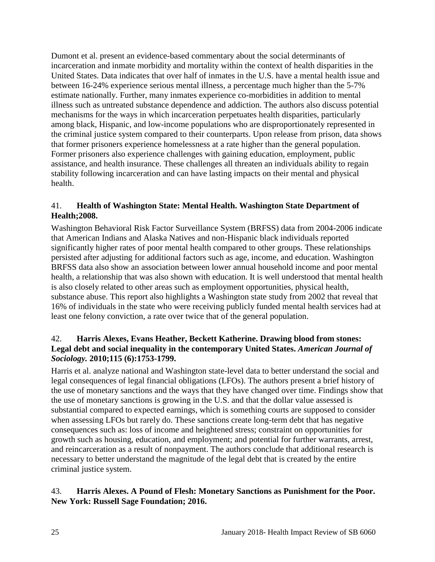Dumont et al. present an evidence-based commentary about the social determinants of incarceration and inmate morbidity and mortality within the context of health disparities in the United States. Data indicates that over half of inmates in the U.S. have a mental health issue and between 16-24% experience serious mental illness, a percentage much higher than the 5-7% estimate nationally. Further, many inmates experience co-morbidities in addition to mental illness such as untreated substance dependence and addiction. The authors also discuss potential mechanisms for the ways in which incarceration perpetuates health disparities, particularly among black, Hispanic, and low-income populations who are disproportionately represented in the criminal justice system compared to their counterparts. Upon release from prison, data shows that former prisoners experience homelessness at a rate higher than the general population. Former prisoners also experience challenges with gaining education, employment, public assistance, and health insurance. These challenges all threaten an individuals ability to regain stability following incarceration and can have lasting impacts on their mental and physical health.

## <span id="page-26-1"></span>41. **Health of Washington State: Mental Health. Washington State Department of Health;2008.**

Washington Behavioral Risk Factor Surveillance System (BRFSS) data from 2004-2006 indicate that American Indians and Alaska Natives and non-Hispanic black individuals reported significantly higher rates of poor mental health compared to other groups. These relationships persisted after adjusting for additional factors such as age, income, and education. Washington BRFSS data also show an association between lower annual household income and poor mental health, a relationship that was also shown with education. It is well understood that mental health is also closely related to other areas such as employment opportunities, physical health, substance abuse. This report also highlights a Washington state study from 2002 that reveal that 16% of individuals in the state who were receiving publicly funded mental health services had at least one felony conviction, a rate over twice that of the general population.

## <span id="page-26-0"></span>42. **Harris Alexes, Evans Heather, Beckett Katherine. Drawing blood from stones: Legal debt and social inequality in the contemporary United States.** *American Journal of Sociology.* **2010;115 (6):1753-1799.**

Harris et al. analyze national and Washington state-level data to better understand the social and legal consequences of legal financial obligations (LFOs). The authors present a brief history of the use of monetary sanctions and the ways that they have changed over time. Findings show that the use of monetary sanctions is growing in the U.S. and that the dollar value assessed is substantial compared to expected earnings, which is something courts are supposed to consider when assessing LFOs but rarely do. These sanctions create long-term debt that has negative consequences such as: loss of income and heightened stress; constraint on opportunities for growth such as housing, education, and employment; and potential for further warrants, arrest, and reincarceration as a result of nonpayment. The authors conclude that additional research is necessary to better understand the magnitude of the legal debt that is created by the entire criminal justice system.

## 43. **Harris Alexes. A Pound of Flesh: Monetary Sanctions as Punishment for the Poor. New York: Russell Sage Foundation; 2016.**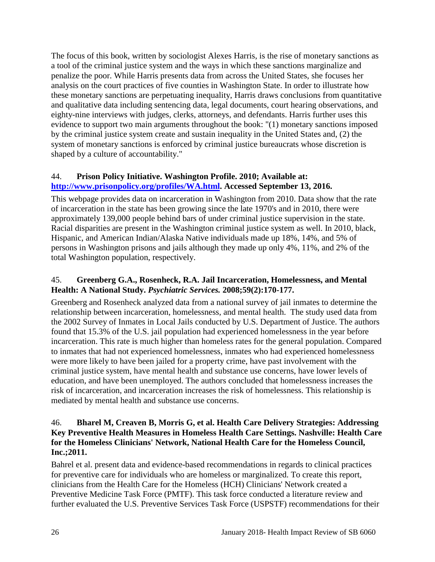The focus of this book, written by sociologist Alexes Harris, is the rise of monetary sanctions as a tool of the criminal justice system and the ways in which these sanctions marginalize and penalize the poor. While Harris presents data from across the United States, she focuses her analysis on the court practices of five counties in Washington State. In order to illustrate how these monetary sanctions are perpetuating inequality, Harris draws conclusions from quantitative and qualitative data including sentencing data, legal documents, court hearing observations, and eighty-nine interviews with judges, clerks, attorneys, and defendants. Harris further uses this evidence to support two main arguments throughout the book: "(1) monetary sanctions imposed by the criminal justice system create and sustain inequality in the United States and, (2) the system of monetary sanctions is enforced by criminal justice bureaucrats whose discretion is shaped by a culture of accountability."

## 44. **Prison Policy Initiative. Washington Profile. 2010; Available at: [http://www.prisonpolicy.org/profiles/WA.html.](http://www.prisonpolicy.org/profiles/WA.html) Accessed September 13, 2016.**

This webpage provides data on incarceration in Washington from 2010. Data show that the rate of incarceration in the state has been growing since the late 1970's and in 2010, there were approximately 139,000 people behind bars of under criminal justice supervision in the state. Racial disparities are present in the Washington criminal justice system as well. In 2010, black, Hispanic, and American Indian/Alaska Native individuals made up 18%, 14%, and 5% of persons in Washington prisons and jails although they made up only 4%, 11%, and 2% of the total Washington population, respectively.

## 45. **Greenberg G.A., Rosenheck, R.A. Jail Incarceration, Homelessness, and Mental Health: A National Study.** *Psychiatric Services.* **2008;59(2):170-177.**

Greenberg and Rosenheck analyzed data from a national survey of jail inmates to determine the relationship between incarceration, homelessness, and mental health. The study used data from the 2002 Survey of Inmates in Local Jails conducted by U.S. Department of Justice. The authors found that 15.3% of the U.S. jail population had experienced homelessness in the year before incarceration. This rate is much higher than homeless rates for the general population. Compared to inmates that had not experienced homelessness, inmates who had experienced homelessness were more likely to have been jailed for a property crime, have past involvement with the criminal justice system, have mental health and substance use concerns, have lower levels of education, and have been unemployed. The authors concluded that homelessness increases the risk of incarceration, and incarceration increases the risk of homelessness. This relationship is mediated by mental health and substance use concerns.

## <span id="page-27-0"></span>46. **Bharel M, Creaven B, Morris G, et al. Health Care Delivery Strategies: Addressing Key Preventive Health Measures in Homeless Health Care Settings. Nashville: Health Care for the Homeless Clinicians' Network, National Health Care for the Homeless Council, Inc.;2011.**

Bahrel et al. present data and evidence-based recommendations in regards to clinical practices for preventive care for individuals who are homeless or marginalized. To create this report, clinicians from the Health Care for the Homeless (HCH) Clinicians' Network created a Preventive Medicine Task Force (PMTF). This task force conducted a literature review and further evaluated the U.S. Preventive Services Task Force (USPSTF) recommendations for their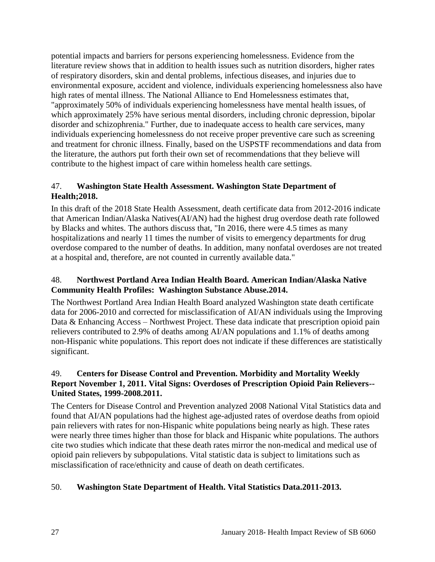potential impacts and barriers for persons experiencing homelessness. Evidence from the literature review shows that in addition to health issues such as nutrition disorders, higher rates of respiratory disorders, skin and dental problems, infectious diseases, and injuries due to environmental exposure, accident and violence, individuals experiencing homelessness also have high rates of mental illness. The National Alliance to End Homelessness estimates that, "approximately 50% of individuals experiencing homelessness have mental health issues, of which approximately 25% have serious mental disorders, including chronic depression, bipolar disorder and schizophrenia." Further, due to inadequate access to health care services, many individuals experiencing homelessness do not receive proper preventive care such as screening and treatment for chronic illness. Finally, based on the USPSTF recommendations and data from the literature, the authors put forth their own set of recommendations that they believe will contribute to the highest impact of care within homeless health care settings.

## 47. **Washington State Health Assessment. Washington State Department of Health;2018.**

In this draft of the 2018 State Health Assessment, death certificate data from 2012-2016 indicate that American Indian/Alaska Natives(AI/AN) had the highest drug overdose death rate followed by Blacks and whites. The authors discuss that, "In 2016, there were 4.5 times as many hospitalizations and nearly 11 times the number of visits to emergency departments for drug overdose compared to the number of deaths. In addition, many nonfatal overdoses are not treated at a hospital and, therefore, are not counted in currently available data."

## 48. **Northwest Portland Area Indian Health Board. American Indian/Alaska Native Community Health Profiles: Washington Substance Abuse.2014.**

The Northwest Portland Area Indian Health Board analyzed Washington state death certificate data for 2006-2010 and corrected for misclassification of AI/AN individuals using the Improving Data & Enhancing Access – Northwest Project. These data indicate that prescription opioid pain relievers contributed to 2.9% of deaths among AI/AN populations and 1.1% of deaths among non-Hispanic white populations. This report does not indicate if these differences are statistically significant.

## 49. **Centers for Disease Control and Prevention. Morbidity and Mortality Weekly Report November 1, 2011. Vital Signs: Overdoses of Prescription Opioid Pain Relievers-- United States, 1999-2008.2011.**

The Centers for Disease Control and Prevention analyzed 2008 National Vital Statistics data and found that AI/AN populations had the highest age-adjusted rates of overdose deaths from opioid pain relievers with rates for non-Hispanic white populations being nearly as high. These rates were nearly three times higher than those for black and Hispanic white populations. The authors cite two studies which indicate that these death rates mirror the non-medical and medical use of opioid pain relievers by subpopulations. Vital statistic data is subject to limitations such as misclassification of race/ethnicity and cause of death on death certificates.

## 50. **Washington State Department of Health. Vital Statistics Data.2011-2013.**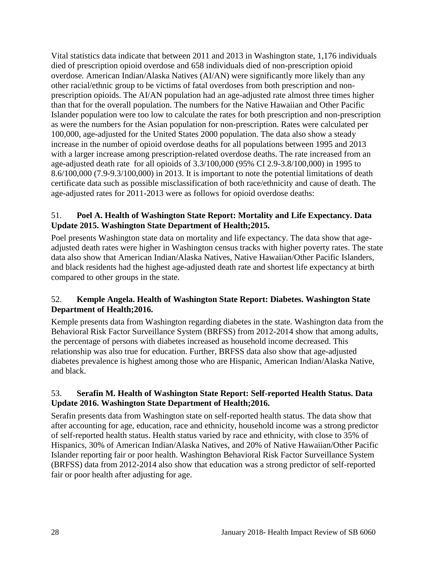Vital statistics data indicate that between 2011 and 2013 in Washington state, 1,176 individuals died of prescription opioid overdose and 658 individuals died of non-prescription opioid overdose. American Indian/Alaska Natives (AI/AN) were significantly more likely than any other racial/ethnic group to be victims of fatal overdoses from both prescription and nonprescription opioids. The AI/AN population had an age-adjusted rate almost three times higher than that for the overall population. The numbers for the Native Hawaiian and Other Pacific Islander population were too low to calculate the rates for both prescription and non-prescription as were the numbers for the Asian population for non-prescription. Rates were calculated per 100,000, age-adjusted for the United States 2000 population. The data also show a steady increase in the number of opioid overdose deaths for all populations between 1995 and 2013 with a larger increase among prescription-related overdose deaths. The rate increased from an age-adjusted death rate for all opioids of 3.3/100,000 (95% CI 2.9-3.8/100,000) in 1995 to 8.6/100,000 (7.9-9.3/100,000) in 2013. It is important to note the potential limitations of death certificate data such as possible misclassification of both race/ethnicity and cause of death. The age-adjusted rates for 2011-2013 were as follows for opioid overdose deaths:

## 51. **Poel A. Health of Washington State Report: Mortality and Life Expectancy. Data Update 2015. Washington State Department of Health;2015.**

Poel presents Washington state data on mortality and life expectancy. The data show that ageadjusted death rates were higher in Washington census tracks with higher poverty rates. The state data also show that American Indian/Alaska Natives, Native Hawaiian/Other Pacific Islanders, and black residents had the highest age-adjusted death rate and shortest life expectancy at birth compared to other groups in the state.

## <span id="page-29-0"></span>52. **Kemple Angela. Health of Washington State Report: Diabetes. Washington State Department of Health;2016.**

Kemple presents data from Washington regarding diabetes in the state. Washington data from the Behavioral Risk Factor Surveillance System (BRFSS) from 2012-2014 show that among adults, the percentage of persons with diabetes increased as household income decreased. This relationship was also true for education. Further, BRFSS data also show that age-adjusted diabetes prevalence is highest among those who are Hispanic, American Indian/Alaska Native, and black.

## 53. **Serafin M. Health of Washington State Report: Self-reported Health Status. Data Update 2016. Washington State Department of Health;2016.**

Serafin presents data from Washington state on self-reported health status. The data show that after accounting for age, education, race and ethnicity, household income was a strong predictor of self-reported health status. Health status varied by race and ethnicity, with close to 35% of Hispanics, 30% of American Indian/Alaska Natives, and 20% of Native Hawaiian/Other Pacific Islander reporting fair or poor health. Washington Behavioral Risk Factor Surveillance System (BRFSS) data from 2012-2014 also show that education was a strong predictor of self-reported fair or poor health after adjusting for age.